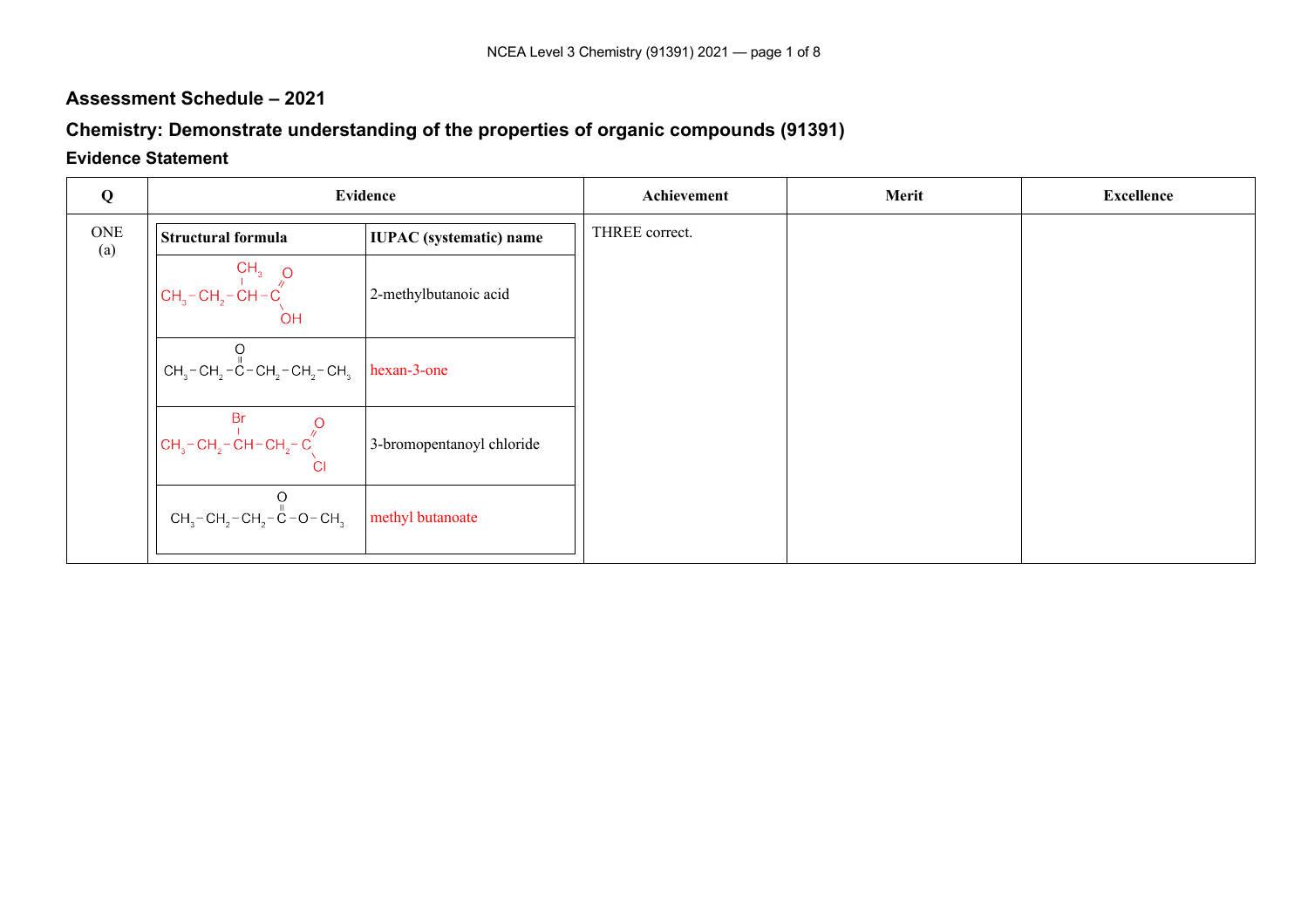## **Assessment Schedule – 2021**

## **Chemistry: Demonstrate understanding of the properties of organic compounds (91391)**

## **Evidence Statement**

| Q                 |                                                    | Evidence                       | Achievement    | Merit | <b>Excellence</b> |
|-------------------|----------------------------------------------------|--------------------------------|----------------|-------|-------------------|
| <b>ONE</b><br>(a) | Structural formula                                 | <b>IUPAC</b> (systematic) name | THREE correct. |       |                   |
|                   | $CH3$ O<br>$ CH_3-CH_2-CH-C $<br><b>OH</b>         | 2-methylbutanoic acid          |                |       |                   |
|                   | $CH_3-CH_2-\ddot{C}-CH_2-CH_2-CH_3$                | hexan-3-one                    |                |       |                   |
|                   | <b>Br</b><br>$1 CH_{3}-CH_{2}-CH-CH_{2}-C^{0}_{2}$ | 3-bromopentanoyl chloride      |                |       |                   |
|                   | $CH_3$ – $CH_2$ – $CH_2$ – $C$ – $O$ – $CH_3$      | methyl butanoate               |                |       |                   |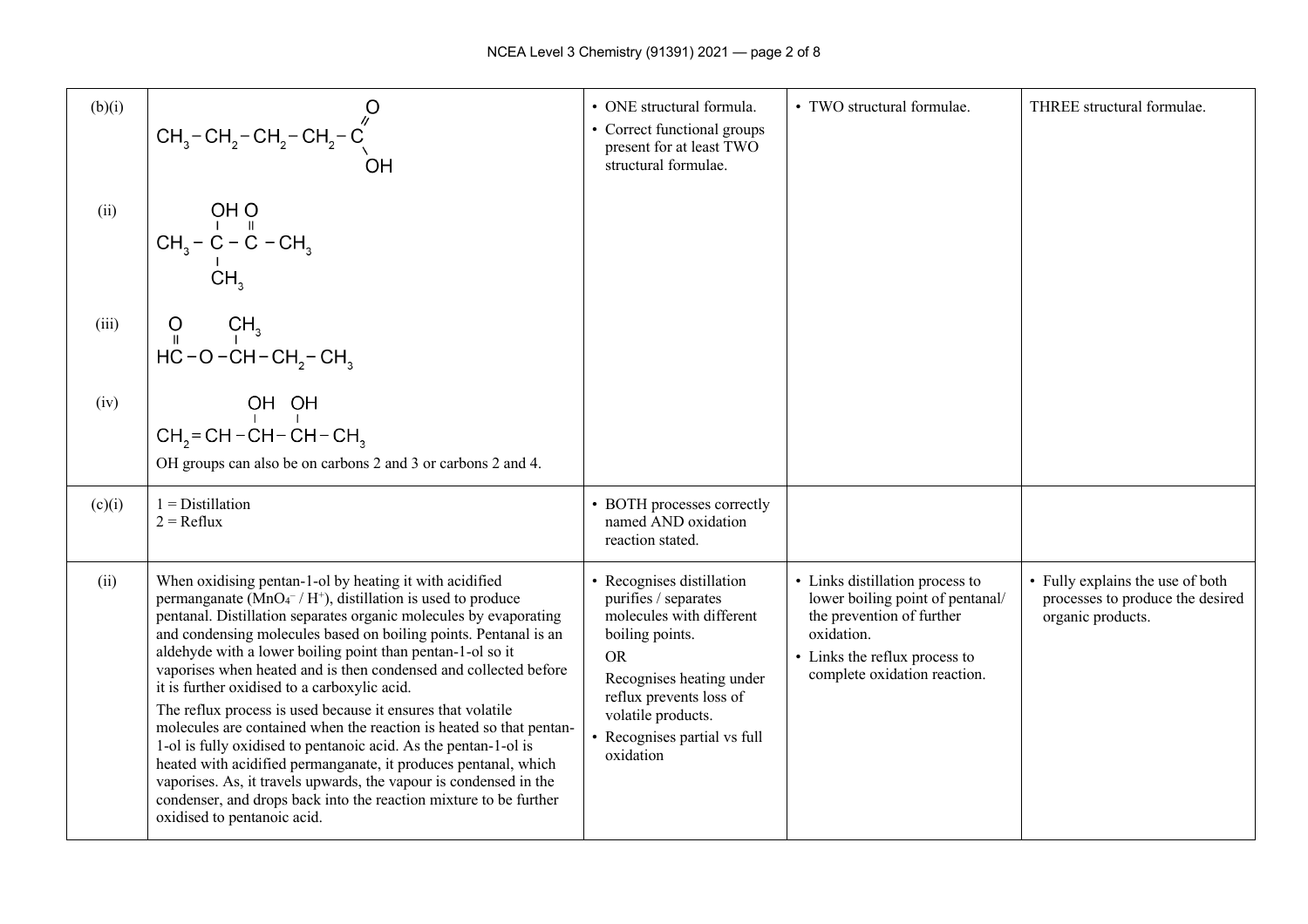| (b)(i) | $\vert$ CH <sub>3</sub> -CH <sub>2</sub> -CH <sub>2</sub> -CH <sub>2</sub> -C <sub>2</sub> <sup>-</sup><br>OH                                                                                                                                                                                                                                                                                                                                                                                                                                                                                                                                                                                                                                                                                                                                                                                           | • ONE structural formula.<br>• Correct functional groups<br>present for at least TWO<br>structural formulae.                                                                                                                            | • TWO structural formulae.                                                                                                                                                      | THREE structural formulae.                                                                |
|--------|---------------------------------------------------------------------------------------------------------------------------------------------------------------------------------------------------------------------------------------------------------------------------------------------------------------------------------------------------------------------------------------------------------------------------------------------------------------------------------------------------------------------------------------------------------------------------------------------------------------------------------------------------------------------------------------------------------------------------------------------------------------------------------------------------------------------------------------------------------------------------------------------------------|-----------------------------------------------------------------------------------------------------------------------------------------------------------------------------------------------------------------------------------------|---------------------------------------------------------------------------------------------------------------------------------------------------------------------------------|-------------------------------------------------------------------------------------------|
| (ii)   | OH <sub>O</sub><br>$CH_3 - \dot{C} - \ddot{C} - CH_3$<br>$CH_3$                                                                                                                                                                                                                                                                                                                                                                                                                                                                                                                                                                                                                                                                                                                                                                                                                                         |                                                                                                                                                                                                                                         |                                                                                                                                                                                 |                                                                                           |
| (iii)  | CH <sub>3</sub><br>$HC - O - CH - CH2 - CH3$                                                                                                                                                                                                                                                                                                                                                                                                                                                                                                                                                                                                                                                                                                                                                                                                                                                            |                                                                                                                                                                                                                                         |                                                                                                                                                                                 |                                                                                           |
| (iv)   | OH OH<br>$CH2=CH-CH-CH-CH3$<br>OH groups can also be on carbons 2 and 3 or carbons 2 and 4.                                                                                                                                                                                                                                                                                                                                                                                                                                                                                                                                                                                                                                                                                                                                                                                                             |                                                                                                                                                                                                                                         |                                                                                                                                                                                 |                                                                                           |
| (c)(i) | $1 = Distillation$<br>$2 = Reflux$                                                                                                                                                                                                                                                                                                                                                                                                                                                                                                                                                                                                                                                                                                                                                                                                                                                                      | • BOTH processes correctly<br>named AND oxidation<br>reaction stated.                                                                                                                                                                   |                                                                                                                                                                                 |                                                                                           |
| (ii)   | When oxidising pentan-1-ol by heating it with acidified<br>permanganate ( $MnO4-/H+$ ), distillation is used to produce<br>pentanal. Distillation separates organic molecules by evaporating<br>and condensing molecules based on boiling points. Pentanal is an<br>aldehyde with a lower boiling point than pentan-1-ol so it<br>vaporises when heated and is then condensed and collected before<br>it is further oxidised to a carboxylic acid.<br>The reflux process is used because it ensures that volatile<br>molecules are contained when the reaction is heated so that pentan-<br>1-ol is fully oxidised to pentanoic acid. As the pentan-1-ol is<br>heated with acidified permanganate, it produces pentanal, which<br>vaporises. As, it travels upwards, the vapour is condensed in the<br>condenser, and drops back into the reaction mixture to be further<br>oxidised to pentanoic acid. | • Recognises distillation<br>purifies / separates<br>molecules with different<br>boiling points.<br><b>OR</b><br>Recognises heating under<br>reflux prevents loss of<br>volatile products.<br>• Recognises partial vs full<br>oxidation | • Links distillation process to<br>lower boiling point of pentanal/<br>the prevention of further<br>oxidation.<br>• Links the reflux process to<br>complete oxidation reaction. | • Fully explains the use of both<br>processes to produce the desired<br>organic products. |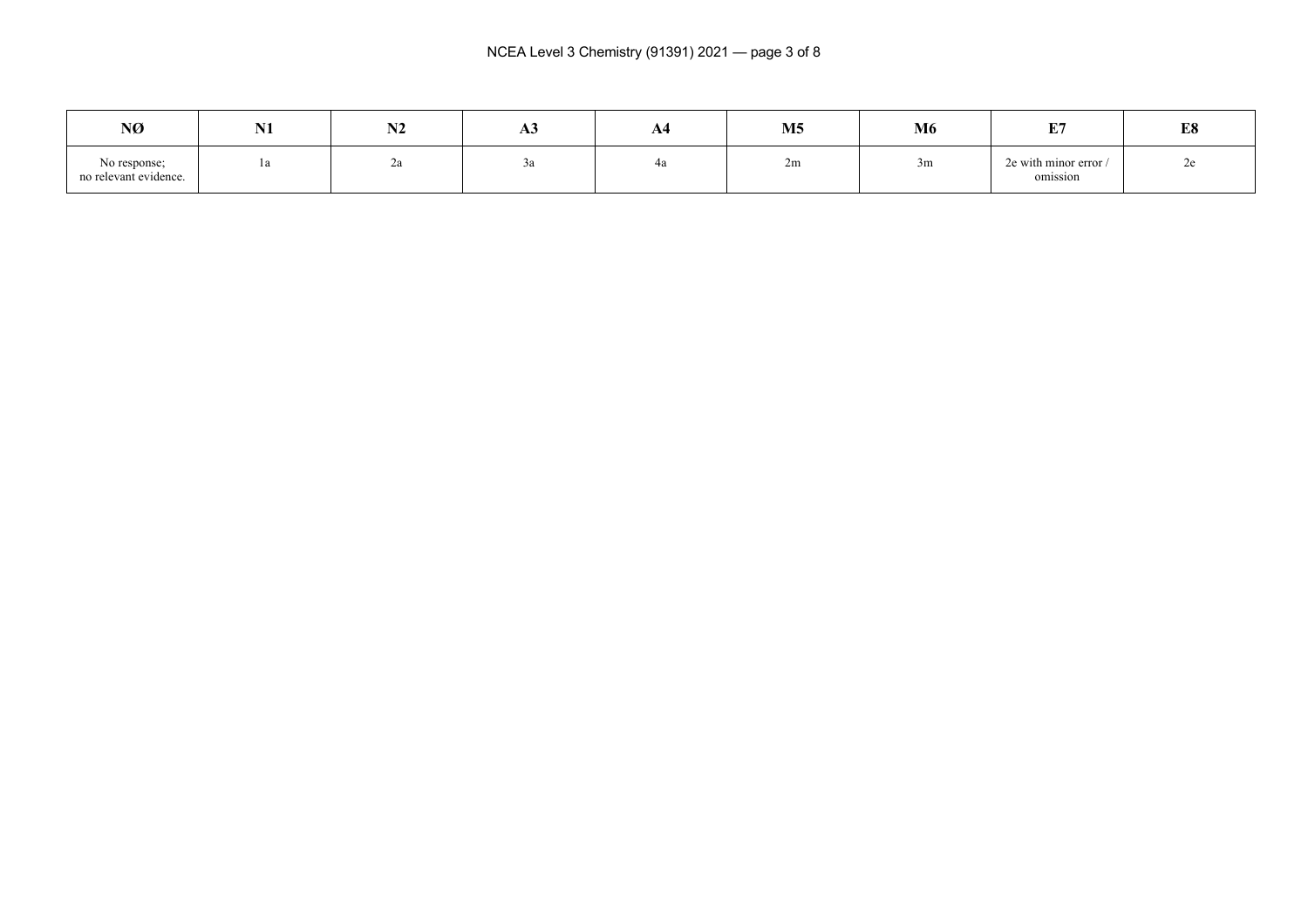| NØ                                    | <b>BI1</b><br>NI | $T^*$<br>- • ⊷ | АJ | A4 | M <sub>5</sub> | M6 | <b>DA</b><br>ر پير                | E8 |
|---------------------------------------|------------------|----------------|----|----|----------------|----|-----------------------------------|----|
| No response;<br>no relevant evidence. | 1a               |                | ∼u |    | 2m             | 3m | 2e with minor error /<br>omission | ∼  |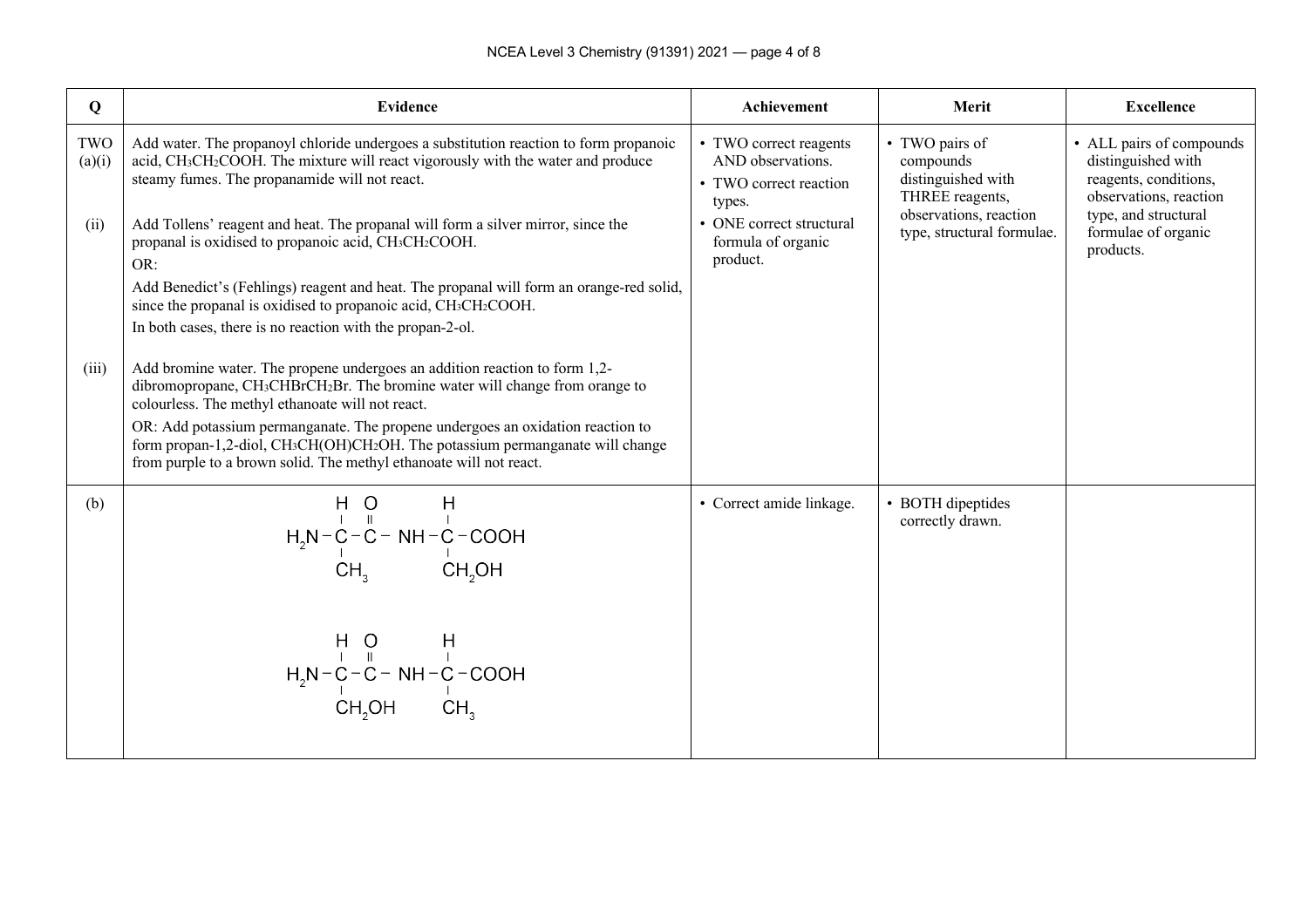| Q             | <b>Evidence</b>                                                                                                                                                                                                                                                | Achievement                                                                     | Merit                                                                | <b>Excellence</b>                                                                                 |
|---------------|----------------------------------------------------------------------------------------------------------------------------------------------------------------------------------------------------------------------------------------------------------------|---------------------------------------------------------------------------------|----------------------------------------------------------------------|---------------------------------------------------------------------------------------------------|
| TWO<br>(a)(i) | Add water. The propanoyl chloride undergoes a substitution reaction to form propanoic<br>acid, CH <sub>3</sub> CH <sub>2</sub> COOH. The mixture will react vigorously with the water and produce<br>steamy fumes. The propanamide will not react.             | • TWO correct reagents<br>AND observations.<br>• TWO correct reaction<br>types. | • TWO pairs of<br>compounds<br>distinguished with<br>THREE reagents, | • ALL pairs of compounds<br>distinguished with<br>reagents, conditions,<br>observations, reaction |
| (ii)          | Add Tollens' reagent and heat. The propanal will form a silver mirror, since the<br>propanal is oxidised to propanoic acid, CH3CH2COOH.<br>OR:                                                                                                                 | • ONE correct structural<br>formula of organic<br>product.                      | observations, reaction<br>type, structural formulae.                 | type, and structural<br>formulae of organic<br>products.                                          |
|               | Add Benedict's (Fehlings) reagent and heat. The propanal will form an orange-red solid,<br>since the propanal is oxidised to propanoic acid, CH <sub>3</sub> CH <sub>2</sub> COOH.                                                                             |                                                                                 |                                                                      |                                                                                                   |
|               | In both cases, there is no reaction with the propan-2-ol.                                                                                                                                                                                                      |                                                                                 |                                                                      |                                                                                                   |
| (iii)         | Add bromine water. The propene undergoes an addition reaction to form 1,2-<br>dibromopropane, CH <sub>3</sub> CHBrCH <sub>2</sub> Br. The bromine water will change from orange to<br>colourless. The methyl ethanoate will not react.                         |                                                                                 |                                                                      |                                                                                                   |
|               | OR: Add potassium permanganate. The propene undergoes an oxidation reaction to<br>form propan-1,2-diol, CH <sub>3</sub> CH(OH)CH <sub>2</sub> OH. The potassium permanganate will change<br>from purple to a brown solid. The methyl ethanoate will not react. |                                                                                 |                                                                      |                                                                                                   |
| (b)           | $H \cup H_2N-C-C-NH-C-COOH$<br>$CH_3$ CH <sub>2</sub> OH                                                                                                                                                                                                       | • Correct amide linkage.                                                        | • BOTH dipeptides<br>correctly drawn.                                |                                                                                                   |
|               | $H O H O H$<br>$H_2N-C-C-NH-C-COOH$<br>$CH_2OH$ $CH_3$                                                                                                                                                                                                         |                                                                                 |                                                                      |                                                                                                   |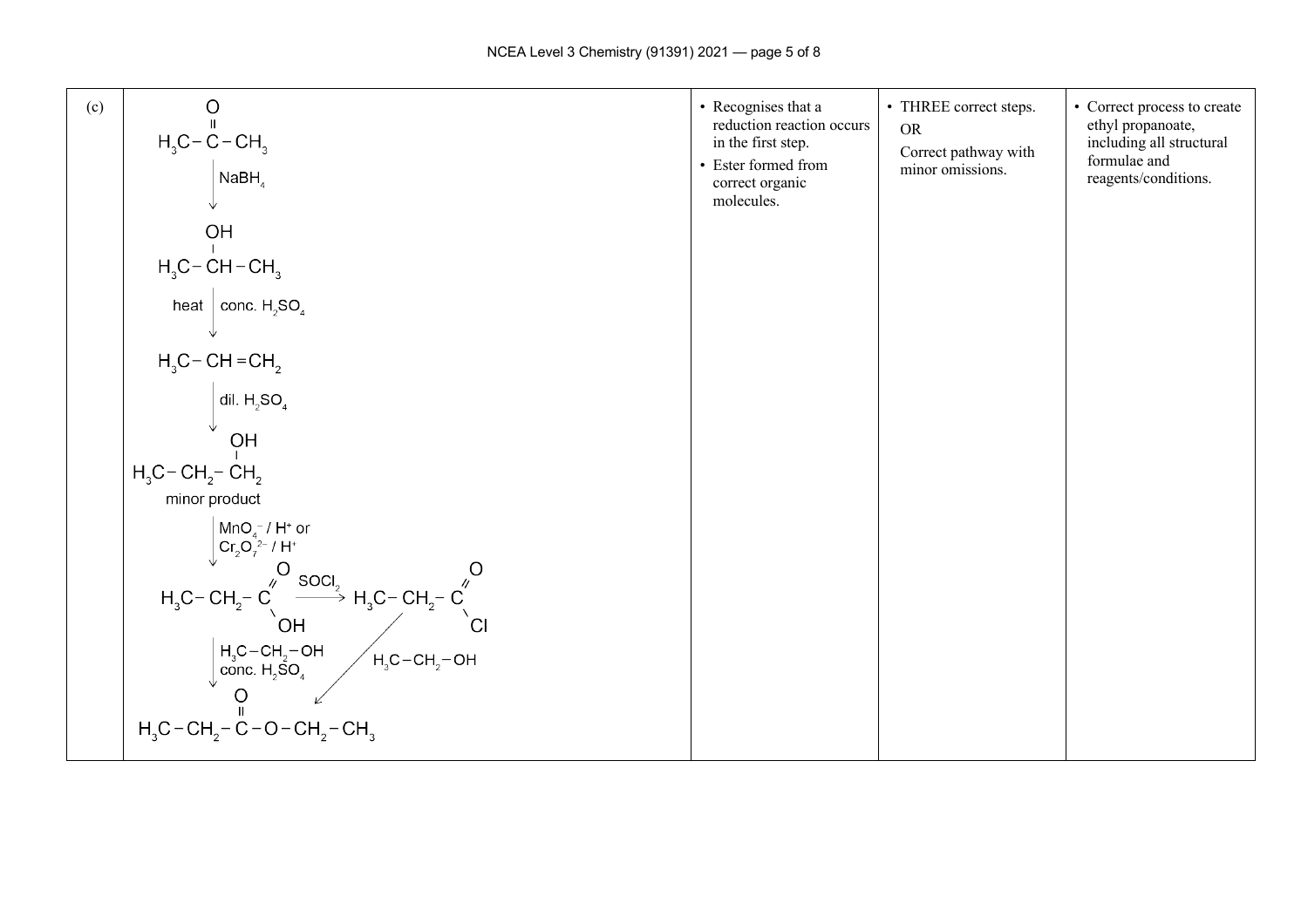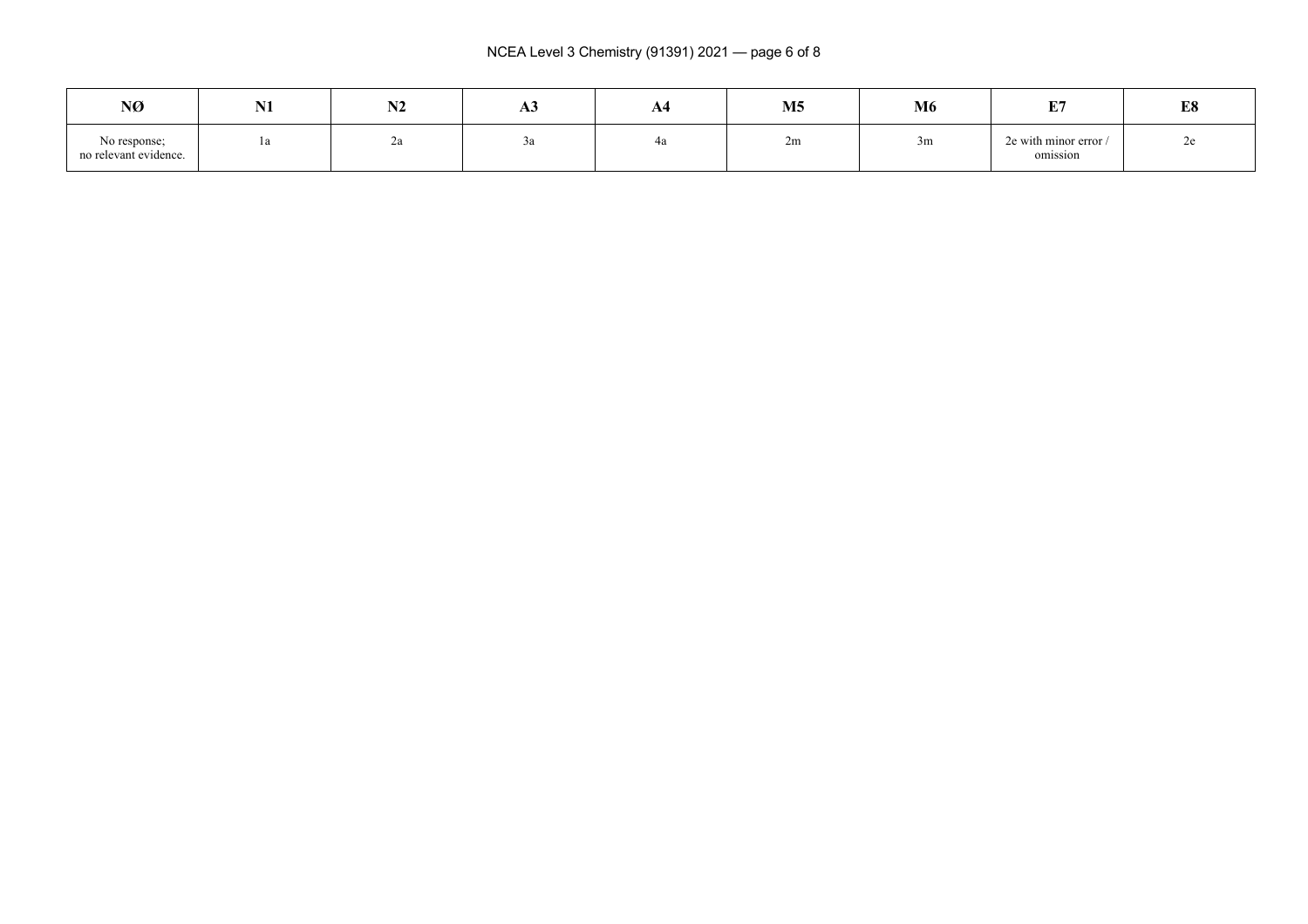| NØ                                    | <b>NT1</b><br>NI | ---<br>⊥ ¶ ∠⊭ | ЛJ | A4      | M <sub>5</sub> | <b>M6</b> | me.<br>، سنڌ                      | E8 |
|---------------------------------------|------------------|---------------|----|---------|----------------|-----------|-----------------------------------|----|
| No response;<br>no relevant evidence. | 1 u              | ∼             |    | $\cdot$ | 2m             | 3m        | 2e with minor error /<br>omission | ∼  |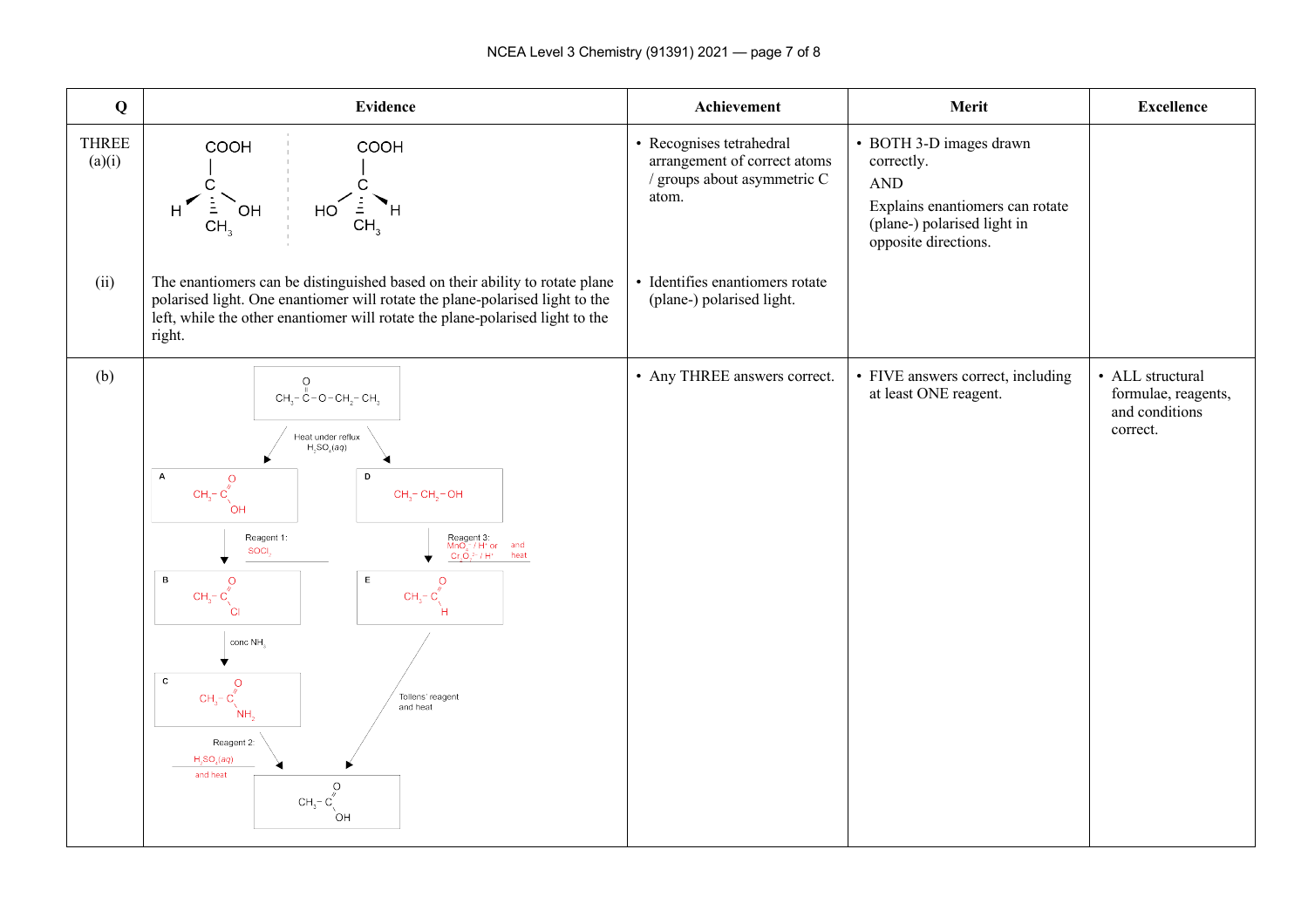| $\mathbf Q$            | <b>Evidence</b>                                                                                                                                                                                                                                                                                                                                                                                                                                                                                                                                                     | Achievement                                                                                      | Merit                                                                                                                                         | <b>Excellence</b>                                                     |
|------------------------|---------------------------------------------------------------------------------------------------------------------------------------------------------------------------------------------------------------------------------------------------------------------------------------------------------------------------------------------------------------------------------------------------------------------------------------------------------------------------------------------------------------------------------------------------------------------|--------------------------------------------------------------------------------------------------|-----------------------------------------------------------------------------------------------------------------------------------------------|-----------------------------------------------------------------------|
| <b>THREE</b><br>(a)(i) | COOH<br>COOH<br>С<br>Ξ<br>Æ.<br>H<br><b>OH</b><br>HO<br>Ή<br>CH,<br>CH <sub>3</sub>                                                                                                                                                                                                                                                                                                                                                                                                                                                                                 | • Recognises tetrahedral<br>arrangement of correct atoms<br>/ groups about asymmetric C<br>atom. | • BOTH 3-D images drawn<br>correctly.<br><b>AND</b><br>Explains enantiomers can rotate<br>(plane-) polarised light in<br>opposite directions. |                                                                       |
| (ii)                   | The enantiomers can be distinguished based on their ability to rotate plane<br>polarised light. One enantiomer will rotate the plane-polarised light to the<br>left, while the other enantiomer will rotate the plane-polarised light to the<br>right.                                                                                                                                                                                                                                                                                                              | • Identifies enantiomers rotate<br>(plane-) polarised light.                                     |                                                                                                                                               |                                                                       |
| (b)                    | $\circ$<br>$CH_3 - \overset{\overset{\_}{0}}{C} - O - CH_2 - CH_3$<br>Heat under reflux<br>H, SO <sub>4</sub> (aq)<br>D<br>Α<br>$CH_3-C$ <sup>(<math>\overline{O}</math></sup> )<br>$CH_3$ - $CH_2$ -OH<br>OH<br>Reagent 1:<br>Reagent 3:<br>MnO <sub>4</sub> <sup>-</sup> / H <sup>+</sup> or<br>and<br>SOCI,<br>$Cr_2\ddot{O}_7^{2-}/H^*$<br>heat<br>$\,$ B<br>$\mathsf E$<br>$\circ$<br>$\circ$<br>$CH_3-C$<br>$CH2-C2$<br>conc NH.<br>$\mathbf{c}$<br>$\mathsf O$<br>$CH_3-C$<br>Tollens' reagent<br>and heat<br>NH.<br>Reagent 2:<br>$H_2SO_4(aq)$<br>and heat | • Any THREE answers correct.                                                                     | • FIVE answers correct, including<br>at least ONE reagent.                                                                                    | • ALL structural<br>formulae, reagents,<br>and conditions<br>correct. |
|                        | $CH_3-C$ <sup>O</sup><br>OH                                                                                                                                                                                                                                                                                                                                                                                                                                                                                                                                         |                                                                                                  |                                                                                                                                               |                                                                       |